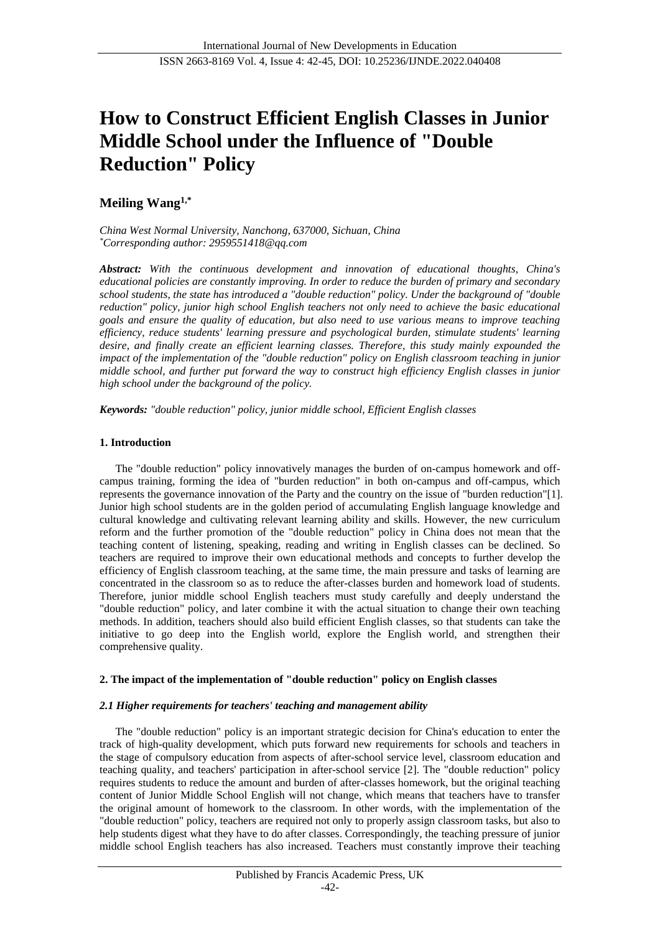# **How to Construct Efficient English Classes in Junior Middle School under the Influence of "Double Reduction" Policy**

**Meiling Wang1,\***

*China West Normal University, Nanchong, 637000, Sichuan, China \*Corresponding author: 2959551418@qq.com*

*Abstract: With the continuous development and innovation of educational thoughts, China's educational policies are constantly improving. In order to reduce the burden of primary and secondary school students, the state has introduced a "double reduction" policy. Under the background of "double reduction" policy, junior high school English teachers not only need to achieve the basic educational goals and ensure the quality of education, but also need to use various means to improve teaching efficiency, reduce students' learning pressure and psychological burden, stimulate students' learning desire, and finally create an efficient learning classes. Therefore, this study mainly expounded the impact of the implementation of the "double reduction" policy on English classroom teaching in junior middle school, and further put forward the way to construct high efficiency English classes in junior high school under the background of the policy.*

*Keywords: "double reduction" policy, junior middle school, Efficient English classes*

# **1. Introduction**

The "double reduction" policy innovatively manages the burden of on-campus homework and offcampus training, forming the idea of "burden reduction" in both on-campus and off-campus, which represents the governance innovation of the Party and the country on the issue of "burden reduction"[1]. Junior high school students are in the golden period of accumulating English language knowledge and cultural knowledge and cultivating relevant learning ability and skills. However, the new curriculum reform and the further promotion of the "double reduction" policy in China does not mean that the teaching content of listening, speaking, reading and writing in English classes can be declined. So teachers are required to improve their own educational methods and concepts to further develop the efficiency of English classroom teaching, at the same time, the main pressure and tasks of learning are concentrated in the classroom so as to reduce the after-classes burden and homework load of students. Therefore, junior middle school English teachers must study carefully and deeply understand the "double reduction" policy, and later combine it with the actual situation to change their own teaching methods. In addition, teachers should also build efficient English classes, so that students can take the initiative to go deep into the English world, explore the English world, and strengthen their comprehensive quality.

## **2. The impact of the implementation of "double reduction" policy on English classes**

## *2.1 Higher requirements for teachers' teaching and management ability*

The "double reduction" policy is an important strategic decision for China's education to enter the track of high-quality development, which puts forward new requirements for schools and teachers in the stage of compulsory education from aspects of after-school service level, classroom education and teaching quality, and teachers' participation in after-school service [2]. The "double reduction" policy requires students to reduce the amount and burden of after-classes homework, but the original teaching content of Junior Middle School English will not change, which means that teachers have to transfer the original amount of homework to the classroom. In other words, with the implementation of the "double reduction" policy, teachers are required not only to properly assign classroom tasks, but also to help students digest what they have to do after classes. Correspondingly, the teaching pressure of junior middle school English teachers has also increased. Teachers must constantly improve their teaching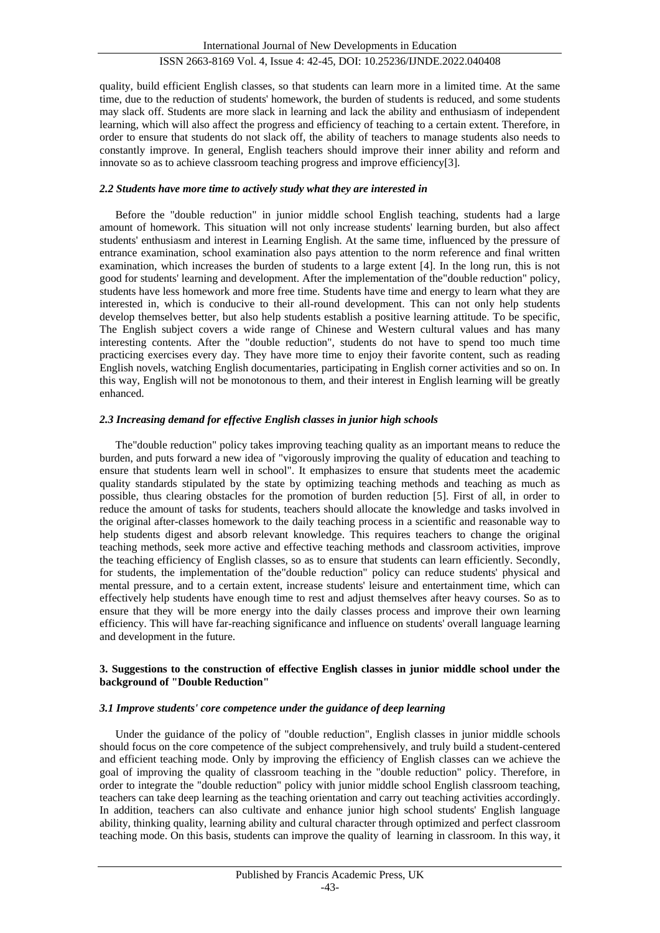# ISSN 2663-8169 Vol. 4, Issue 4: 42-45, DOI: 10.25236/IJNDE.2022.040408

quality, build efficient English classes, so that students can learn more in a limited time. At the same time, due to the reduction of students' homework, the burden of students is reduced, and some students may slack off. Students are more slack in learning and lack the ability and enthusiasm of independent learning, which will also affect the progress and efficiency of teaching to a certain extent. Therefore, in order to ensure that students do not slack off, the ability of teachers to manage students also needs to constantly improve. In general, English teachers should improve their inner ability and reform and innovate so as to achieve classroom teaching progress and improve efficiency[3].

## *2.2 Students have more time to actively study what they are interested in*

Before the "double reduction" in junior middle school English teaching, students had a large amount of homework. This situation will not only increase students' learning burden, but also affect students' enthusiasm and interest in Learning English. At the same time, influenced by the pressure of entrance examination, school examination also pays attention to the norm reference and final written examination, which increases the burden of students to a large extent [4]. In the long run, this is not good for students' learning and development. After the implementation of the"double reduction" policy, students have less homework and more free time. Students have time and energy to learn what they are interested in, which is conducive to their all-round development. This can not only help students develop themselves better, but also help students establish a positive learning attitude. To be specific, The English subject covers a wide range of Chinese and Western cultural values and has many interesting contents. After the "double reduction", students do not have to spend too much time practicing exercises every day. They have more time to enjoy their favorite content, such as reading English novels, watching English documentaries, participating in English corner activities and so on. In this way, English will not be monotonous to them, and their interest in English learning will be greatly enhanced.

## *2.3 Increasing demand for effective English classes in junior high schools*

The"double reduction" policy takes improving teaching quality as an important means to reduce the burden, and puts forward a new idea of "vigorously improving the quality of education and teaching to ensure that students learn well in school". It emphasizes to ensure that students meet the academic quality standards stipulated by the state by optimizing teaching methods and teaching as much as possible, thus clearing obstacles for the promotion of burden reduction [5]. First of all, in order to reduce the amount of tasks for students, teachers should allocate the knowledge and tasks involved in the original after-classes homework to the daily teaching process in a scientific and reasonable way to help students digest and absorb relevant knowledge. This requires teachers to change the original teaching methods, seek more active and effective teaching methods and classroom activities, improve the teaching efficiency of English classes, so as to ensure that students can learn efficiently. Secondly, for students, the implementation of the"double reduction" policy can reduce students' physical and mental pressure, and to a certain extent, increase students' leisure and entertainment time, which can effectively help students have enough time to rest and adjust themselves after heavy courses. So as to ensure that they will be more energy into the daily classes process and improve their own learning efficiency. This will have far-reaching significance and influence on students' overall language learning and development in the future.

## **3. Suggestions to the construction of effective English classes in junior middle school under the background of "Double Reduction"**

#### *3.1 Improve students' core competence under the guidance of deep learning*

Under the guidance of the policy of "double reduction", English classes in junior middle schools should focus on the core competence of the subject comprehensively, and truly build a student-centered and efficient teaching mode. Only by improving the efficiency of English classes can we achieve the goal of improving the quality of classroom teaching in the "double reduction" policy. Therefore, in order to integrate the "double reduction" policy with junior middle school English classroom teaching, teachers can take deep learning as the teaching orientation and carry out teaching activities accordingly. In addition, teachers can also cultivate and enhance junior high school students' English language ability, thinking quality, learning ability and cultural character through optimized and perfect classroom teaching mode. On this basis, students can improve the quality of learning in classroom. In this way, it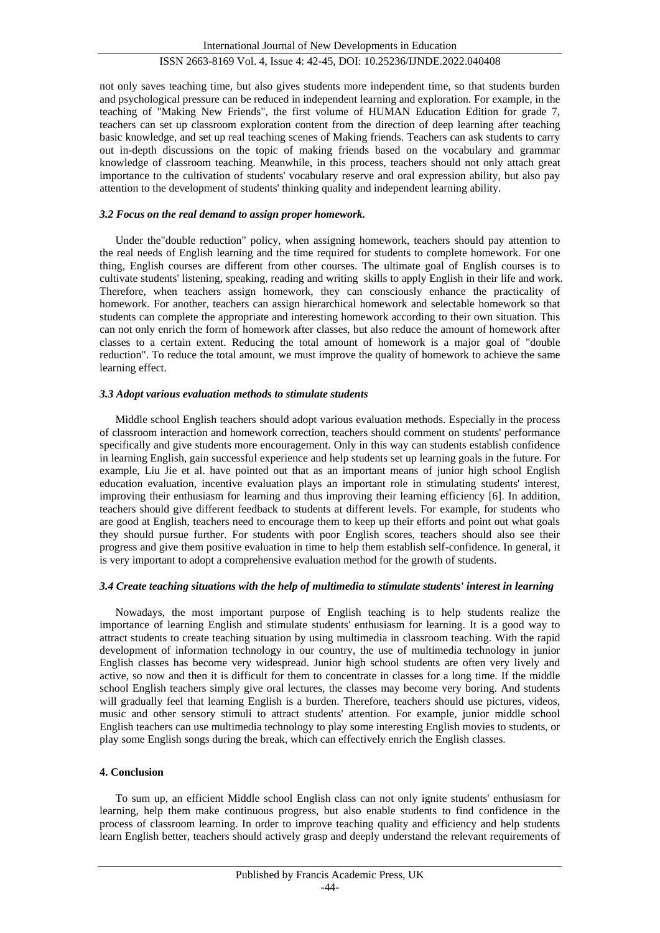# ISSN 2663-8169 Vol. 4, Issue 4: 42-45, DOI: 10.25236/IJNDE.2022.040408

not only saves teaching time, but also gives students more independent time, so that students burden and psychological pressure can be reduced in independent learning and exploration. For example, in the teaching of "Making New Friends", the first volume of HUMAN Education Edition for grade 7, teachers can set up classroom exploration content from the direction of deep learning after teaching basic knowledge, and set up real teaching scenes of Making friends. Teachers can ask students to carry out in-depth discussions on the topic of making friends based on the vocabulary and grammar knowledge of classroom teaching. Meanwhile, in this process, teachers should not only attach great importance to the cultivation of students' vocabulary reserve and oral expression ability, but also pay attention to the development of students' thinking quality and independent learning ability.

## *3.2 Focus on the real demand to assign proper homework.*

Under the"double reduction" policy, when assigning homework, teachers should pay attention to the real needs of English learning and the time required for students to complete homework. For one thing, English courses are different from other courses. The ultimate goal of English courses is to cultivate students' listening, speaking, reading and writing skills to apply English in their life and work. Therefore, when teachers assign homework, they can consciously enhance the practicality of homework. For another, teachers can assign hierarchical homework and selectable homework so that students can complete the appropriate and interesting homework according to their own situation. This can not only enrich the form of homework after classes, but also reduce the amount of homework after classes to a certain extent. Reducing the total amount of homework is a major goal of "double reduction". To reduce the total amount, we must improve the quality of homework to achieve the same learning effect.

## *3.3 Adopt various evaluation methods to stimulate students*

Middle school English teachers should adopt various evaluation methods. Especially in the process of classroom interaction and homework correction, teachers should comment on students' performance specifically and give students more encouragement. Only in this way can students establish confidence in learning English, gain successful experience and help students set up learning goals in the future. For example, Liu Jie et al. have pointed out that as an important means of junior high school English education evaluation, incentive evaluation plays an important role in stimulating students' interest, improving their enthusiasm for learning and thus improving their learning efficiency [6]. In addition, teachers should give different feedback to students at different levels. For example, for students who are good at English, teachers need to encourage them to keep up their efforts and point out what goals they should pursue further. For students with poor English scores, teachers should also see their progress and give them positive evaluation in time to help them establish self-confidence. In general, it is very important to adopt a comprehensive evaluation method for the growth of students.

#### *3.4 Create teaching situations with the help of multimedia to stimulate students' interest in learning*

Nowadays, the most important purpose of English teaching is to help students realize the importance of learning English and stimulate students' enthusiasm for learning. It is a good way to attract students to create teaching situation by using multimedia in classroom teaching. With the rapid development of information technology in our country, the use of multimedia technology in junior English classes has become very widespread. Junior high school students are often very lively and active, so now and then it is difficult for them to concentrate in classes for a long time. If the middle school English teachers simply give oral lectures, the classes may become very boring. And students will gradually feel that learning English is a burden. Therefore, teachers should use pictures, videos, music and other sensory stimuli to attract students' attention. For example, junior middle school English teachers can use multimedia technology to play some interesting English movies to students, or play some English songs during the break, which can effectively enrich the English classes.

## **4. Conclusion**

To sum up, an efficient Middle school English class can not only ignite students' enthusiasm for learning, help them make continuous progress, but also enable students to find confidence in the process of classroom learning. In order to improve teaching quality and efficiency and help students learn English better, teachers should actively grasp and deeply understand the relevant requirements of